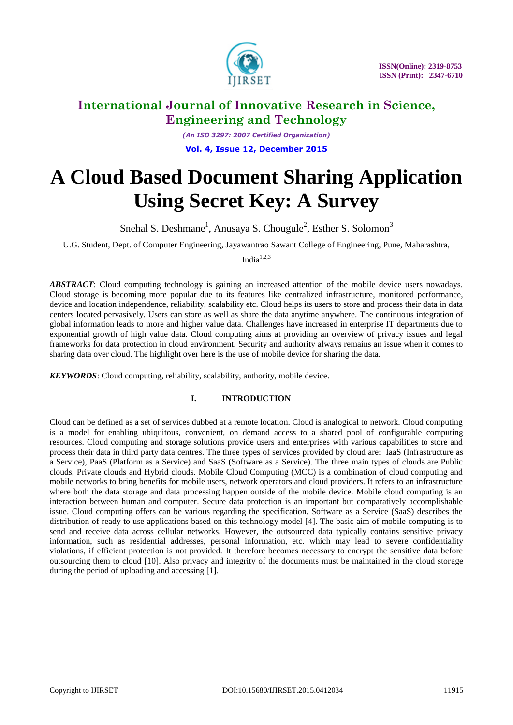

*(An ISO 3297: 2007 Certified Organization)* **Vol. 4, Issue 12, December 2015**

# **A Cloud Based Document Sharing Application Using Secret Key: A Survey**

Snehal S. Deshmane<sup>1</sup>, Anusaya S. Chougule<sup>2</sup>, Esther S. Solomon<sup>3</sup>

U.G. Student, Dept. of Computer Engineering, Jayawantrao Sawant College of Engineering, Pune, Maharashtra,

India $1,2,3$ 

*ABSTRACT*: Cloud computing technology is gaining an increased attention of the mobile device users nowadays. Cloud storage is becoming more popular due to its features like centralized infrastructure, monitored performance, device and location independence, reliability, scalability etc. Cloud helps its users to store and process their data in data centers located pervasively. Users can store as well as share the data anytime anywhere. The continuous integration of global information leads to more and higher value data. Challenges have increased in enterprise IT departments due to exponential growth of high value data. Cloud computing aims at providing an overview of privacy issues and legal frameworks for data protection in cloud environment. Security and authority always remains an issue when it comes to sharing data over cloud. The highlight over here is the use of mobile device for sharing the data.

*KEYWORDS*: Cloud computing, reliability, scalability, authority, mobile device.

### **I. INTRODUCTION**

Cloud can be defined as a set of services dubbed at a remote location. Cloud is analogical to network. Cloud computing is a model for enabling ubiquitous, convenient, on demand access to a shared pool of configurable computing resources. Cloud computing and storage solutions provide users and enterprises with various capabilities to store and process their data in third party data centres. The three types of services provided by cloud are: IaaS (Infrastructure as a Service), PaaS (Platform as a Service) and SaaS (Software as a Service). The three main types of clouds are Public clouds, Private clouds and Hybrid clouds. Mobile Cloud Computing (MCC) is a combination of cloud computing and mobile networks to bring benefits for mobile users, network operators and cloud providers. It refers to an infrastructure where both the data storage and data processing happen outside of the mobile device. Mobile cloud computing is an interaction between human and computer. Secure data protection is an important but comparatively accomplishable issue. Cloud computing offers can be various regarding the specification. Software as a Service (SaaS) describes the distribution of ready to use applications based on this technology model [4]. The basic aim of mobile computing is to send and receive data across cellular networks. However, the outsourced data typically contains sensitive privacy information, such as residential addresses, personal information, etc. which may lead to severe confidentiality violations, if efficient protection is not provided. It therefore becomes necessary to encrypt the sensitive data before outsourcing them to cloud [10]. Also privacy and integrity of the documents must be maintained in the cloud storage during the period of uploading and accessing [1].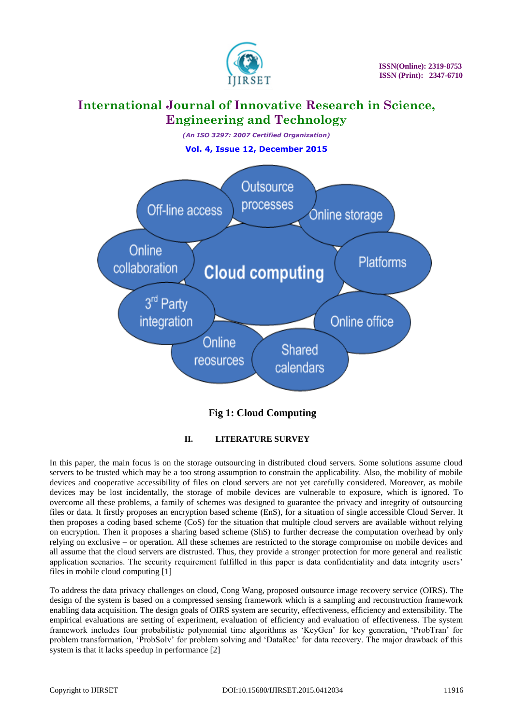

*(An ISO 3297: 2007 Certified Organization)* **Vol. 4, Issue 12, December 2015**



### **Fig 1: Cloud Computing**

### **II. LITERATURE SURVEY**

In this paper, the main focus is on the storage outsourcing in distributed cloud servers. Some solutions assume cloud servers to be trusted which may be a too strong assumption to constrain the applicability. Also, the mobility of mobile devices and cooperative accessibility of files on cloud servers are not yet carefully considered. Moreover, as mobile devices may be lost incidentally, the storage of mobile devices are vulnerable to exposure, which is ignored. To overcome all these problems, a family of schemes was designed to guarantee the privacy and integrity of outsourcing files or data. It firstly proposes an encryption based scheme (EnS), for a situation of single accessible Cloud Server. It then proposes a coding based scheme (CoS) for the situation that multiple cloud servers are available without relying on encryption. Then it proposes a sharing based scheme (ShS) to further decrease the computation overhead by only relying on exclusive – or operation. All these schemes are restricted to the storage compromise on mobile devices and all assume that the cloud servers are distrusted. Thus, they provide a stronger protection for more general and realistic application scenarios. The security requirement fulfilled in this paper is data confidentiality and data integrity users" files in mobile cloud computing [1]

To address the data privacy challenges on cloud, Cong Wang, proposed outsource image recovery service (OIRS). The design of the system is based on a compressed sensing framework which is a sampling and reconstruction framework enabling data acquisition. The design goals of OIRS system are security, effectiveness, efficiency and extensibility. The empirical evaluations are setting of experiment, evaluation of efficiency and evaluation of effectiveness. The system framework includes four probabilistic polynomial time algorithms as "KeyGen" for key generation, "ProbTran" for problem transformation, "ProbSolv" for problem solving and "DataRec" for data recovery. The major drawback of this system is that it lacks speedup in performance [2]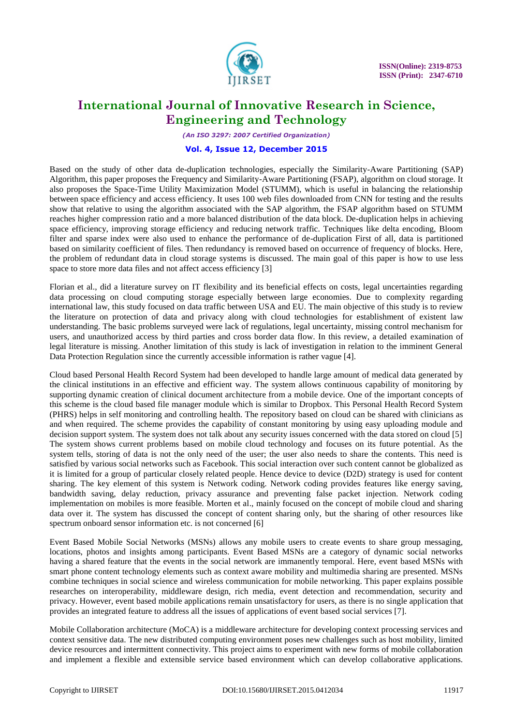

*(An ISO 3297: 2007 Certified Organization)*

#### **Vol. 4, Issue 12, December 2015**

Based on the study of other data de-duplication technologies, especially the Similarity-Aware Partitioning (SAP) Algorithm, this paper proposes the Frequency and Similarity-Aware Partitioning (FSAP), algorithm on cloud storage. It also proposes the Space-Time Utility Maximization Model (STUMM), which is useful in balancing the relationship between space efficiency and access efficiency. It uses 100 web files downloaded from CNN for testing and the results show that relative to using the algorithm associated with the SAP algorithm, the FSAP algorithm based on STUMM reaches higher compression ratio and a more balanced distribution of the data block. De-duplication helps in achieving space efficiency, improving storage efficiency and reducing network traffic. Techniques like delta encoding, Bloom filter and sparse index were also used to enhance the performance of de-duplication First of all, data is partitioned based on similarity coefficient of files. Then redundancy is removed based on occurrence of frequency of blocks. Here, the problem of redundant data in cloud storage systems is discussed. The main goal of this paper is how to use less space to store more data files and not affect access efficiency [3]

Florian et al., did a literature survey on IT flexibility and its beneficial effects on costs, legal uncertainties regarding data processing on cloud computing storage especially between large economies. Due to complexity regarding international law, this study focused on data traffic between USA and EU. The main objective of this study is to review the literature on protection of data and privacy along with cloud technologies for establishment of existent law understanding. The basic problems surveyed were lack of regulations, legal uncertainty, missing control mechanism for users, and unauthorized access by third parties and cross border data flow. In this review, a detailed examination of legal literature is missing. Another limitation of this study is lack of investigation in relation to the imminent General Data Protection Regulation since the currently accessible information is rather vague [4].

Cloud based Personal Health Record System had been developed to handle large amount of medical data generated by the clinical institutions in an effective and efficient way. The system allows continuous capability of monitoring by supporting dynamic creation of clinical document architecture from a mobile device. One of the important concepts of this scheme is the cloud based file manager module which is similar to Dropbox. This Personal Health Record System (PHRS) helps in self monitoring and controlling health. The repository based on cloud can be shared with clinicians as and when required. The scheme provides the capability of constant monitoring by using easy uploading module and decision support system. The system does not talk about any security issues concerned with the data stored on cloud [5] The system shows current problems based on mobile cloud technology and focuses on its future potential. As the system tells, storing of data is not the only need of the user; the user also needs to share the contents. This need is satisfied by various social networks such as Facebook. This social interaction over such content cannot be globalized as it is limited for a group of particular closely related people. Hence device to device (D2D) strategy is used for content sharing. The key element of this system is Network coding. Network coding provides features like energy saving, bandwidth saving, delay reduction, privacy assurance and preventing false packet injection. Network coding implementation on mobiles is more feasible. Morten et al., mainly focused on the concept of mobile cloud and sharing data over it. The system has discussed the concept of content sharing only, but the sharing of other resources like spectrum onboard sensor information etc. is not concerned [6]

Event Based Mobile Social Networks (MSNs) allows any mobile users to create events to share group messaging, locations, photos and insights among participants. Event Based MSNs are a category of dynamic social networks having a shared feature that the events in the social network are immanently temporal. Here, event based MSNs with smart phone content technology elements such as context aware mobility and multimedia sharing are presented. MSNs combine techniques in social science and wireless communication for mobile networking. This paper explains possible researches on interoperability, middleware design, rich media, event detection and recommendation, security and privacy. However, event based mobile applications remain unsatisfactory for users, as there is no single application that provides an integrated feature to address all the issues of applications of event based social services [7].

Mobile Collaboration architecture (MoCA) is a middleware architecture for developing context processing services and context sensitive data. The new distributed computing environment poses new challenges such as host mobility, limited device resources and intermittent connectivity. This project aims to experiment with new forms of mobile collaboration and implement a flexible and extensible service based environment which can develop collaborative applications.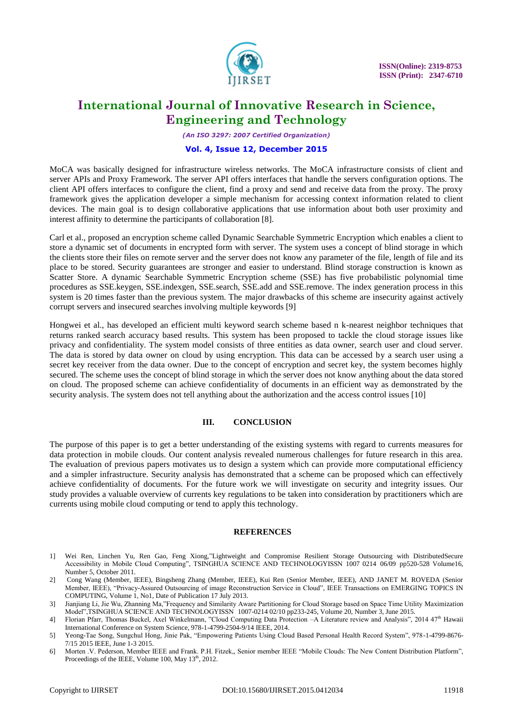

*(An ISO 3297: 2007 Certified Organization)*

#### **Vol. 4, Issue 12, December 2015**

MoCA was basically designed for infrastructure wireless networks. The MoCA infrastructure consists of client and server APIs and Proxy Framework. The server API offers interfaces that handle the servers configuration options. The client API offers interfaces to configure the client, find a proxy and send and receive data from the proxy. The proxy framework gives the application developer a simple mechanism for accessing context information related to client devices. The main goal is to design collaborative applications that use information about both user proximity and interest affinity to determine the participants of collaboration [8].

Carl et al., proposed an encryption scheme called Dynamic Searchable Symmetric Encryption which enables a client to store a dynamic set of documents in encrypted form with server. The system uses a concept of blind storage in which the clients store their files on remote server and the server does not know any parameter of the file, length of file and its place to be stored. Security guarantees are stronger and easier to understand. Blind storage construction is known as Scatter Store. A dynamic Searchable Symmetric Encryption scheme (SSE) has five probabilistic polynomial time procedures as SSE.keygen, SSE.indexgen, SSE.search, SSE.add and SSE.remove. The index generation process in this system is 20 times faster than the previous system. The major drawbacks of this scheme are insecurity against actively corrupt servers and insecured searches involving multiple keywords [9]

Hongwei et al., has developed an efficient multi keyword search scheme based n k-nearest neighbor techniques that returns ranked search accuracy based results. This system has been proposed to tackle the cloud storage issues like privacy and confidentiality. The system model consists of three entities as data owner, search user and cloud server. The data is stored by data owner on cloud by using encryption. This data can be accessed by a search user using a secret key receiver from the data owner. Due to the concept of encryption and secret key, the system becomes highly secured. The scheme uses the concept of blind storage in which the server does not know anything about the data stored on cloud. The proposed scheme can achieve confidentiality of documents in an efficient way as demonstrated by the security analysis. The system does not tell anything about the authorization and the access control issues [10]

#### **III. CONCLUSION**

The purpose of this paper is to get a better understanding of the existing systems with regard to currents measures for data protection in mobile clouds. Our content analysis revealed numerous challenges for future research in this area. The evaluation of previous papers motivates us to design a system which can provide more computational efficiency and a simpler infrastructure. Security analysis has demonstrated that a scheme can be proposed which can effectively achieve confidentiality of documents. For the future work we will investigate on security and integrity issues. Our study provides a valuable overview of currents key regulations to be taken into consideration by practitioners which are currents using mobile cloud computing or tend to apply this technology.

#### **REFERENCES**

- 1] Wei Ren, Linchen Yu, Ren Gao, Feng Xiong,"Lightweight and Compromise Resilient Storage Outsourcing with DistributedSecure Accessibility in Mobile Cloud Computing", TSINGHUA SCIENCE AND TECHNOLOGYISSN 1007 0214 06/09 pp520-528 Volume16, Number 5, October 2011.
- 2] Cong Wang (Member, IEEE), Bingsheng Zhang (Member, IEEE), Kui Ren (Senior Member, IEEE), AND JANET M. ROVEDA (Senior Member, IEEE), "Privacy-Assured Outsourcing of image Reconstruction Service in Cloud", IEEE Transactions on EMERGING TOPICS IN COMPUTING, Volume 1, No1, Date of Publication 17 July 2013.
- 3] Jianjiang Li, Jie Wu, Zhanning Ma,"Frequency and Similarity Aware Partitioning for Cloud Storage based on Space Time Utility Maximization Model",TSINGHUA SCIENCE AND TECHNOLOGYISSN 1007-0214 02/10 pp233-245, Volume 20, Number 3, June 2015.
- 4] Florian Pfarr, Thomas Buckel, Axel Winkelmann, "Cloud Computing Data Protection -A Literature review and Analysis", 2014 47<sup>th</sup> Hawaii International Conference on System Science, 978-1-4799-2504-9/14 IEEE, 2014.
- 5] Yeong-Tae Song, Sungchul Hong, Jinie Pak, "Empowering Patients Using Cloud Based Personal Health Record System", 978-1-4799-8676- 7/15 2015 IEEE, June 1-3 2015.
- 6] Morten .V. Pederson, Member IEEE and Frank. P.H. Fitzek,, Senior member IEEE "Mobile Clouds: The New Content Distribution Platform", Proceedings of the IEEE, Volume 100, May 13<sup>th</sup>, 2012.